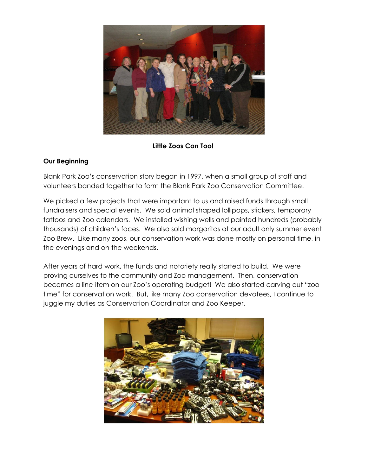

**Little Zoos Can Too!** 

## **Our Beginning**

Blank Park Zoo's conservation story began in 1997, when a small group of staff and volunteers banded together to form the Blank Park Zoo Conservation Committee.

We picked a few projects that were important to us and raised funds through small fundraisers and special events. We sold animal shaped lollipops, stickers, temporary tattoos and Zoo calendars. We installed wishing wells and painted hundreds (probably thousands) of children's faces. We also sold margaritas at our adult only summer event Zoo Brew. Like many zoos, our conservation work was done mostly on personal time, in the evenings and on the weekends.

After years of hard work, the funds and notoriety really started to build. We were proving ourselves to the community and Zoo management. Then, conservation becomes a line-item on our Zoo's operating budget! We also started carving out "zoo time" for conservation work. But, like many Zoo conservation devotees, I continue to juggle my duties as Conservation Coordinator and Zoo Keeper.

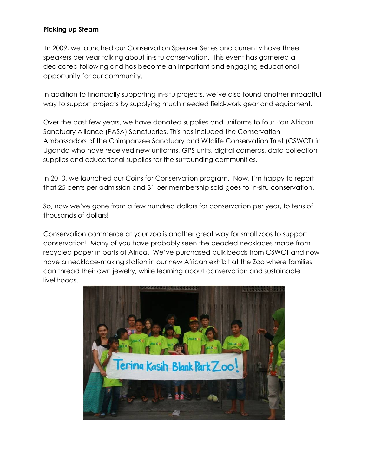## **Picking up Steam**

 In 2009, we launched our Conservation Speaker Series and currently have three speakers per year talking about in-situ conservation. This event has garnered a dedicated following and has become an important and engaging educational opportunity for our community.

In addition to financially supporting in-situ projects, we've also found another impactful way to support projects by supplying much needed field-work gear and equipment.

Over the past few years, we have donated supplies and uniforms to four Pan African Sanctuary Alliance (PASA) Sanctuaries. This has included the Conservation Ambassadors of the Chimpanzee Sanctuary and Wildlife Conservation Trust (CSWCT) in Uganda who have received new uniforms, GPS units, digital cameras, data collection supplies and educational supplies for the surrounding communities.

In 2010, we launched our Coins for Conservation program. Now, I'm happy to report that 25 cents per admission and \$1 per membership sold goes to in-situ conservation.

So, now we've gone from a few hundred dollars for conservation per year, to tens of thousands of dollars!

Conservation commerce at your zoo is another great way for small zoos to support conservation! Many of you have probably seen the beaded necklaces made from recycled paper in parts of Africa. We've purchased bulk beads from CSWCT and now have a necklace-making station in our new African exhibit at the Zoo where families can thread their own jewelry, while learning about conservation and sustainable livelihoods.